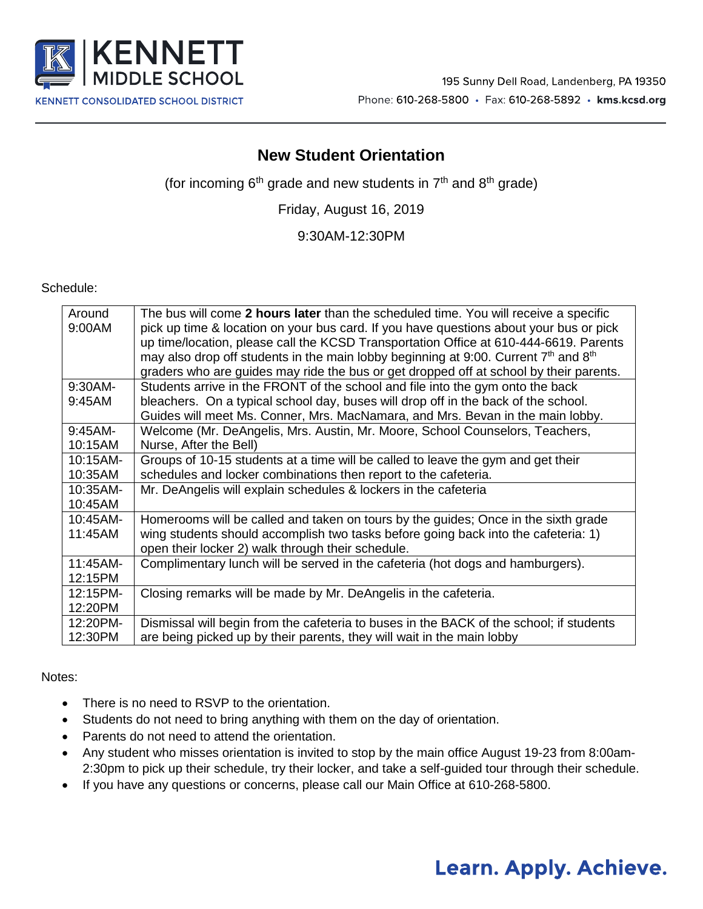

### **New Student Orientation**

(for incoming  $6<sup>th</sup>$  grade and new students in  $7<sup>th</sup>$  and  $8<sup>th</sup>$  grade)

Friday, August 16, 2019

9:30AM-12:30PM

Schedule:

| Around    | The bus will come 2 hours later than the scheduled time. You will receive a specific    |
|-----------|-----------------------------------------------------------------------------------------|
|           |                                                                                         |
| 9:00AM    | pick up time & location on your bus card. If you have questions about your bus or pick  |
|           | up time/location, please call the KCSD Transportation Office at 610-444-6619. Parents   |
|           | may also drop off students in the main lobby beginning at 9:00. Current $7th$ and $8th$ |
|           | graders who are guides may ride the bus or get dropped off at school by their parents.  |
| 9:30AM-   | Students arrive in the FRONT of the school and file into the gym onto the back          |
| 9:45AM    | bleachers. On a typical school day, buses will drop off in the back of the school.      |
|           | Guides will meet Ms. Conner, Mrs. MacNamara, and Mrs. Bevan in the main lobby.          |
| $9:45AM-$ | Welcome (Mr. DeAngelis, Mrs. Austin, Mr. Moore, School Counselors, Teachers,            |
| 10:15AM   | Nurse, After the Bell)                                                                  |
| 10:15AM-  | Groups of 10-15 students at a time will be called to leave the gym and get their        |
| 10:35AM   | schedules and locker combinations then report to the cafeteria.                         |
| 10:35AM-  | Mr. DeAngelis will explain schedules & lockers in the cafeteria                         |
| 10:45AM   |                                                                                         |
| 10:45AM-  | Homerooms will be called and taken on tours by the guides; Once in the sixth grade      |
| 11:45AM   | wing students should accomplish two tasks before going back into the cafeteria: 1)      |
|           | open their locker 2) walk through their schedule.                                       |
| 11:45AM-  | Complimentary lunch will be served in the cafeteria (hot dogs and hamburgers).          |
| 12:15PM   |                                                                                         |
| 12:15PM-  | Closing remarks will be made by Mr. DeAngelis in the cafeteria.                         |
| 12:20PM   |                                                                                         |
| 12:20PM-  | Dismissal will begin from the cafeteria to buses in the BACK of the school; if students |
| 12:30PM   | are being picked up by their parents, they will wait in the main lobby                  |

#### Notes:

- There is no need to RSVP to the orientation.
- Students do not need to bring anything with them on the day of orientation.
- Parents do not need to attend the orientation.
- Any student who misses orientation is invited to stop by the main office August 19-23 from 8:00am-2:30pm to pick up their schedule, try their locker, and take a self-guided tour through their schedule.
- If you have any questions or concerns, please call our Main Office at 610-268-5800.

# Learn. Apply. Achieve.